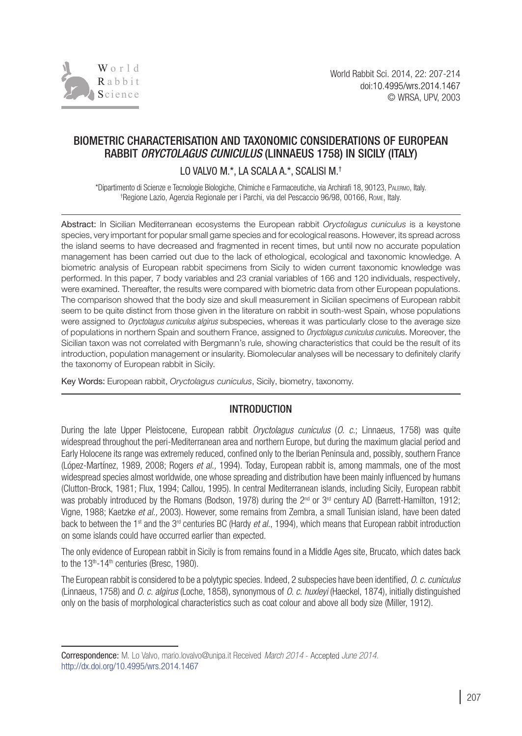

# BIOMETRIC CHARACTERISATION AND TAXONOMIC CONSIDERATIONS OF EUROPEAN RABBIT *ORYCTOLAGUS CUNICULUS* (LINNAEUS 1758) IN SICILY (ITALY)

LO VALVO M.\*, LA SCALA A.\*, SCALISI M.<sup>†</sup>

\*Dipartimento di Scienze e Tecnologie Biologiche, Chimiche e Farmaceutiche, via Archirafi 18, 90123, Palermo, Italy. † Regione Lazio, Agenzia Regionale per i Parchi, via del Pescaccio 96/98, 00166, Rome, Italy.

Abstract: In Sicilian Mediterranean ecosystems the European rabbit *Oryctolagus cuniculus* is a keystone species, very important for popular small game species and for ecological reasons. However, its spread across the island seems to have decreased and fragmented in recent times, but until now no accurate population management has been carried out due to the lack of ethological, ecological and taxonomic knowledge. A biometric analysis of European rabbit specimens from Sicily to widen current taxonomic knowledge was performed. In this paper, 7 body variables and 23 cranial variables of 166 and 120 individuals, respectively, were examined. Thereafter, the results were compared with biometric data from other European populations. The comparison showed that the body size and skull measurement in Sicilian specimens of European rabbit seem to be quite distinct from those given in the literature on rabbit in south-west Spain, whose populations were assigned to *Oryctolagus cuniculus algirus* subspecies, whereas it was particularly close to the average size of populations in northern Spain and southern France, assigned to *Oryctolagus cuniculus cuniculu*s. Moreover, the Sicilian taxon was not correlated with Bergmann's rule, showing characteristics that could be the result of its introduction, population management or insularity. Biomolecular analyses will be necessary to definitely clarify the taxonomy of European rabbit in Sicily.

Key Words: European rabbit, *Oryctolagus cuniculus*, Sicily, biometry, taxonomy.

## **INTRODUCTION**

During the late Upper Pleistocene, European rabbit *Oryctolagus cuniculus* (*O. c.*; Linnaeus, 1758) was quite widespread throughout the peri-Mediterranean area and northern Europe, but during the maximum glacial period and Early Holocene its range was extremely reduced, confined only to the Iberian Peninsula and, possibly, southern France (López-Martínez, 1989, 2008; Rogers *et al.,* 1994). Today, European rabbit is, among mammals, one of the most widespread species almost worldwide, one whose spreading and distribution have been mainly influenced by humans (Clutton-Brock, 1981; Flux, 1994; Callou, 1995). In central Mediterranean islands, including Sicily, European rabbit was probably introduced by the Romans (Bodson, 1978) during the  $2<sup>nd</sup>$  or 3<sup>rd</sup> century AD (Barrett-Hamilton, 1912; Vigne, 1988; Kaetzke *et al.,* 2003). However, some remains from Zembra, a small Tunisian island, have been dated back to between the 1<sup>st</sup> and the 3<sup>rd</sup> centuries BC (Hardy *et al.*, 1994), which means that European rabbit introduction on some islands could have occurred earlier than expected.

The only evidence of European rabbit in Sicily is from remains found in a Middle Ages site, Brucato, which dates back to the 13<sup>th</sup>-14<sup>th</sup> centuries (Bresc, 1980).

The European rabbit is considered to be a polytypic species. Indeed, 2 subspecies have been identified, *O. c. cuniculus* (Linnaeus, 1758) and *O. c. algirus* (Loche, 1858), synonymous of *O. c. huxleyi* (Haeckel, 1874), initially distinguished only on the basis of morphological characteristics such as coat colour and above all body size (Miller, 1912).

Correspondence: M. Lo Valvo, mario.lovalvo@unipa.it Received *March 2014 June 2014.* [http://dx.doi.org/10.4995/wrs.2014.](http://dx.doi.org/10.4995/wrs.2014.1467)1467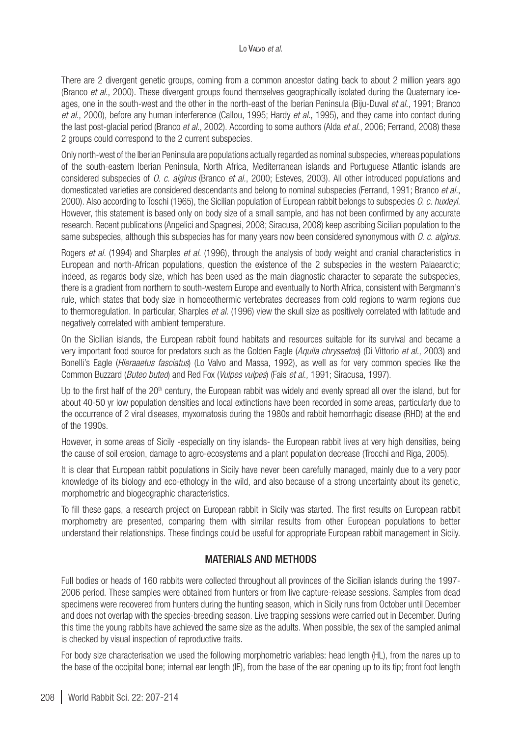There are 2 divergent genetic groups, coming from a common ancestor dating back to about 2 million years ago (Branco *et al.*, 2000). These divergent groups found themselves geographically isolated during the Quaternary iceages, one in the south-west and the other in the north-east of the Iberian Peninsula (Biju-Duval *et al.*, 1991; Branco *et al.*, 2000), before any human interference (Callou, 1995; Hardy *et al.*, 1995), and they came into contact during the last post-glacial period (Branco *et al.*, 2002). According to some authors (Alda *et al.*, 2006; Ferrand, 2008) these 2 groups could correspond to the 2 current subspecies.

Only north-west of the Iberian Peninsula are populations actually regarded as nominal subspecies, whereas populations of the south-eastern Iberian Peninsula, North Africa, Mediterranean islands and Portuguese Atlantic islands are considered subspecies of *O. c. algirus* (Branco *et al.*, 2000; Esteves, 2003). All other introduced populations and domesticated varieties are considered descendants and belong to nominal subspecies (Ferrand, 1991; Branco *et al.*, 2000). Also according to Toschi (1965), the Sicilian population of European rabbit belongs to subspecies *O. c. huxleyi*. However, this statement is based only on body size of a small sample, and has not been confirmed by any accurate research. Recent publications (Angelici and Spagnesi, 2008; Siracusa, 2008) keep ascribing Sicilian population to the same subspecies, although this subspecies has for many years now been considered synonymous with *O. c. algirus*.

Rogers *et al.* (1994) and Sharples *et al.* (1996), through the analysis of body weight and cranial characteristics in European and north-African populations, question the existence of the 2 subspecies in the western Palaearctic; indeed, as regards body size, which has been used as the main diagnostic character to separate the subspecies, there is a gradient from northern to south-western Europe and eventually to North Africa, consistent with Bergmann's rule, which states that body size in homoeothermic vertebrates decreases from cold regions to warm regions due to thermoregulation. In particular, Sharples *et al.* (1996) view the skull size as positively correlated with latitude and negatively correlated with ambient temperature.

On the Sicilian islands, the European rabbit found habitats and resources suitable for its survival and became a very important food source for predators such as the Golden Eagle (*Aquila chrysaetos*) (Di Vittorio *et al.*, 2003) and Bonelli's Eagle (*Hieraaetus fasciatus*) (Lo Valvo and Massa, 1992), as well as for very common species like the Common Buzzard (*Buteo buteo*) and Red Fox (*Vulpes vulpes*) (Fais *et al.,* 1991; Siracusa, 1997).

Up to the first half of the 20<sup>th</sup> century, the European rabbit was widely and evenly spread all over the island, but for about 40-50 yr low population densities and local extinctions have been recorded in some areas, particularly due to the occurrence of 2 viral diseases, myxomatosis during the 1980s and rabbit hemorrhagic disease (RHD) at the end of the 1990s.

However, in some areas of Sicily -especially on tiny islands- the European rabbit lives at very high densities, being the cause of soil erosion, damage to agro-ecosystems and a plant population decrease (Trocchi and Riga, 2005).

It is clear that European rabbit populations in Sicily have never been carefully managed, mainly due to a very poor knowledge of its biology and eco-ethology in the wild, and also because of a strong uncertainty about its genetic, morphometric and biogeographic characteristics.

To fill these gaps, a research project on European rabbit in Sicily was started. The first results on European rabbit morphometry are presented, comparing them with similar results from other European populations to better understand their relationships. These findings could be useful for appropriate European rabbit management in Sicily.

### MATERIALS AND METHODS

Full bodies or heads of 160 rabbits were collected throughout all provinces of the Sicilian islands during the 1997- 2006 period. These samples were obtained from hunters or from live capture-release sessions. Samples from dead specimens were recovered from hunters during the hunting season, which in Sicily runs from October until December and does not overlap with the species-breeding season. Live trapping sessions were carried out in December. During this time the young rabbits have achieved the same size as the adults. When possible, the sex of the sampled animal is checked by visual inspection of reproductive traits.

For body size characterisation we used the following morphometric variables: head length (HL), from the nares up to the base of the occipital bone; internal ear length (IE), from the base of the ear opening up to its tip; front foot length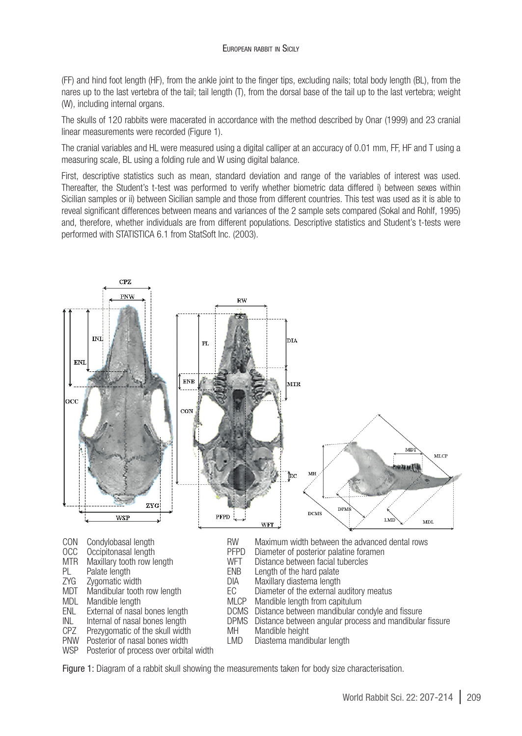(FF) and hind foot length (HF), from the ankle joint to the finger tips, excluding nails; total body length (BL), from the nares up to the last vertebra of the tail; tail length (T), from the dorsal base of the tail up to the last vertebra; weight (W), including internal organs.

The skulls of 120 rabbits were macerated in accordance with the method described by Onar (1999) and 23 cranial linear measurements were recorded (Figure 1).

The cranial variables and HL were measured using a digital calliper at an accuracy of 0.01 mm, FF, HF and T using a measuring scale, BL using a folding rule and W using digital balance.

First, descriptive statistics such as mean, standard deviation and range of the variables of interest was used. Thereafter, the Student's t-test was performed to verify whether biometric data differed i) between sexes within Sicilian samples or ii) between Sicilian sample and those from different countries. This test was used as it is able to reveal significant differences between means and variances of the 2 sample sets compared (Sokal and Rohlf, 1995) and, therefore, whether individuals are from different populations. Descriptive statistics and Student's t-tests were performed with STATISTICA 6.1 from StatSoft Inc. (2003).



Figure 1: Diagram of a rabbit skull showing the measurements taken for body size characterisation.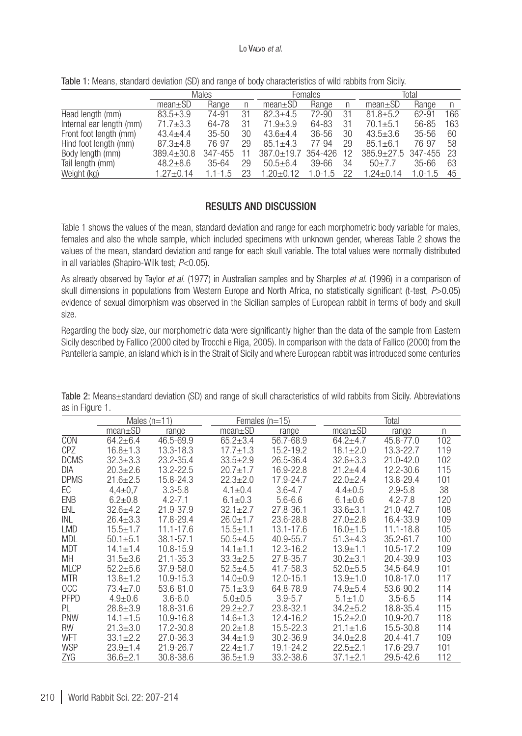|                          | Males            |             |    | Females          |             |    | Total          |             |     |
|--------------------------|------------------|-------------|----|------------------|-------------|----|----------------|-------------|-----|
|                          | $mean \pm SD$    | Range       | n  | $mean \pm SD$    | Range       | n  | $mean \pm SD$  | Range       | n   |
| Head length (mm)         | $83.5 \pm 3.9$   | 74-91       | 31 | $82.3 + 4.5$     | 72-90       | 31 | $81.8 + 5.2$   | 62-91       | 166 |
| Internal ear length (mm) | $71.7 \pm 3.3$   | 64-78       | 31 | $71.9 + 3.9$     | 64-83       | 31 | $70.1 + 5.1$   | 56-85       | 163 |
| Front foot length (mm)   | $43.4 + 4.4$     | $35 - 50$   | 30 | $43.6 + 4.4$     | $36 - 56$   | 30 | $43.5 + 3.6$   | $35 - 56$   | 60  |
| Hind foot length (mm)    | $87.3 + 4.8$     | 76-97       | 29 | $85.1 + 4.3$     | 77-94       | 29 | $85.1 + 6.1$   | 76-97       | 58  |
| Body length (mm)         | $389.4 \pm 30.8$ | 347-455     |    | $387.0 \pm 19.7$ | 354-426     | 12 | $385.9 + 27.5$ | 347-455     | -23 |
| Tail length (mm)         | $48.2 + 8.6$     | $35 - 64$   | 29 | $50.5 + 6.4$     | $39 - 66$   | 34 | $50+7.7$       | $35 - 66$   | 63  |
| Weight (kg)              | $1.27 + 0.14$    | $1.1 - 1.5$ | 23 | $1.20 + 0.12$    | $1.0 - 1.5$ | 22 | $1.24 + 0.14$  | $1.0 - 1.5$ | 45  |

Table 1: Means, standard deviation (SD) and range of body characteristics of wild rabbits from Sicily.

## RESULTS and discussion

Table 1 shows the values of the mean, standard deviation and range for each morphometric body variable for males, females and also the whole sample, which included specimens with unknown gender, whereas Table 2 shows the values of the mean, standard deviation and range for each skull variable. The total values were normally distributed in all variables (Shapiro-Wilk test; *P*<0.05).

As already observed by Taylor *et al.* (1977) in Australian samples and by Sharples *et al.* (1996) in a comparison of skull dimensions in populations from Western Europe and North Africa, no statistically significant (t-test, *P*>0.05) evidence of sexual dimorphism was observed in the Sicilian samples of European rabbit in terms of body and skull size.

Regarding the body size, our morphometric data were significantly higher than the data of the sample from Eastern Sicily described by Fallico (2000 cited by Trocchi e Riga, 2005). In comparison with the data of Fallico (2000) from the Pantelleria sample, an island which is in the Strait of Sicily and where European rabbit was introduced some centuries

|             | Males $(n=11)$ |               |                | Females $(n=15)$ | Total          |               |     |  |
|-------------|----------------|---------------|----------------|------------------|----------------|---------------|-----|--|
|             | $mean \pm SD$  | range         | $mean \pm SD$  | range            | $mean \pm SD$  | range         | n   |  |
| <b>CON</b>  | $64.2 + 6.4$   | 46.5-69.9     | $65.2 + 3.4$   | 56.7-68.9        | $64.2 + 4.7$   | 45.8-77.0     | 102 |  |
| <b>CPZ</b>  | $16.8 \pm 1.3$ | 13.3-18.3     | $17.7 + 1.3$   | 15.2-19.2        | $18.1 + 2.0$   | 13.3-22.7     | 119 |  |
| <b>DCMS</b> | $32.3 + 3.3$   | 23.2-35.4     | $33.5 + 2.9$   | 26.5-36.4        | $32.6 + 3.3$   | $21.0 - 42.0$ | 102 |  |
| DIA         | $20.3 + 2.6$   | 13.2-22.5     | $20.7 + 1.7$   | 16.9-22.8        | $21.2 + 4.4$   | 12.2-30.6     | 115 |  |
| <b>DPMS</b> | $21.6 + 2.5$   | 15.8-24.3     | $22.3 + 2.0$   | 17.9-24.7        | $22.0 + 2.4$   | 13.8-29.4     | 101 |  |
| EC          | $4.4 \pm 0.7$  | $3.3 - 5.8$   | $4.1 \pm 0.4$  | $3.6 - 4.7$      | $4.4 + 0.5$    | $2.9 - 5.8$   | 38  |  |
| <b>ENB</b>  | $6.2 \pm 0.8$  | $4.2 - 7.1$   | $6.1 \pm 0.3$  | $5.6 - 6.6$      | $6.1 \pm 0.6$  | $4.2 - 7.8$   | 120 |  |
| ENL         | $32.6 + 4.2$   | 21.9-37.9     | $32.1 + 2.7$   | 27.8-36.1        | $33.6 + 3.1$   | $21.0 - 42.7$ | 108 |  |
| INL         | $26.4 + 3.3$   | 17.8-29.4     | $26.0 \pm 1.7$ | 23.6-28.8        | $27.0 + 2.8$   | 16.4-33.9     | 109 |  |
| <b>LMD</b>  | $15.5 + 1.7$   | 11.1-17.6     | $15.5 + 1.1$   | 13.1-17.6        | $16.0 + 1.5$   | 11.1-18.8     | 105 |  |
| <b>MDL</b>  | $50.1 + 5.1$   | 38.1-57.1     | $50.5 + 4.5$   | 40.9-55.7        | $51.3 + 4.3$   | $35.2 - 61.7$ | 100 |  |
| <b>MDT</b>  | $14.1 \pm 1.4$ | 10.8-15.9     | $14.1 + 1.1$   | 12.3-16.2        | $13.9 + 1.1$   | $10.5 - 17.2$ | 109 |  |
| MН          | $31.5 + 3.6$   | $21.1 - 35.3$ | $33.3 + 2.5$   | 27.8-35.7        | $30.2 + 3.1$   | 20.4-39.9     | 103 |  |
| <b>MLCP</b> | $52.2 + 5.6$   | 37.9-58.0     | $52.5 + 4.5$   | 41.7-58.3        | $52.0 + 5.5$   | 34.5-64.9     | 101 |  |
| <b>MTR</b>  | $13.8 + 1.2$   | $10.9 - 15.3$ | $14.0 + 0.9$   | 12.0-15.1        | $13.9 + 1.0$   | $10.8 - 17.0$ | 117 |  |
| <b>OCC</b>  | $73.4 + 7.0$   | 53.6-81.0     | $75.1 + 3.9$   | 64.8-78.9        | $74.9 + 5.4$   | 53.6-90.2     | 114 |  |
| <b>PFPD</b> | $4.9 + 0.6$    | $3.6 - 6.0$   | $5.0 + 0.5$    | $3.9 - 5.7$      | $5.1 \pm 1.0$  | $3.5 - 6.5$   | 114 |  |
| PL          | $28.8 \pm 3.9$ | 18.8-31.6     | $29.2 + 2.7$   | 23.8-32.1        | $34.2 + 5.2$   | 18.8-35.4     | 115 |  |
| <b>PNW</b>  | $14.1 \pm 1.5$ | 10.9-16.8     | $14.6 \pm 1.3$ | 12.4-16.2        | $15.2 + 2.0$   | 10.9-20.7     | 118 |  |
| <b>RW</b>   | $21.3 \pm 3.0$ | 17.2-30.8     | $20.2 + 1.8$   | 15.5-22.3        | $21.1 \pm 1.6$ | 15.5-30.8     | 114 |  |
| WFT         | $33.1 + 2.2$   | $27.0 - 36.3$ | $34.4 + 1.9$   | 30.2-36.9        | $34.0 + 2.8$   | 20.4-41.7     | 109 |  |
| <b>WSP</b>  | $23.9 + 1.4$   | 21.9-26.7     | $22.4 + 1.7$   | 19.1-24.2        | $22.5 + 2.1$   | 17.6-29.7     | 101 |  |
| ZYG         | $36.6 \pm 2.1$ | 30.8-38.6     | $36.5 \pm 1.9$ | 33.2-38.6        | $37.1 \pm 2.1$ | 29.5-42.6     | 112 |  |

Table 2: Means±standard deviation (SD) and range of skull characteristics of wild rabbits from Sicily. Abbreviations as in Figure 1.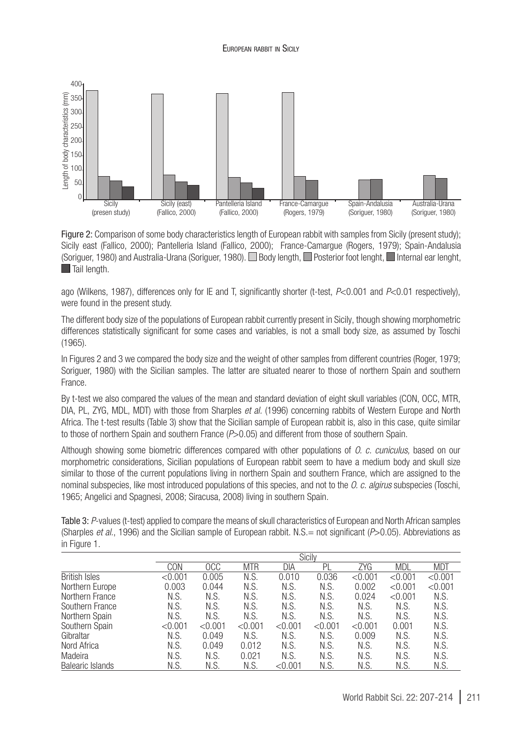

Figure 2: Comparison of some body characteristics length of European rabbit with samples from Sicily (present study); Sicily east (Fallico, 2000); Pantelleria Island (Fallico, 2000); France-Camargue (Rogers, 1979); Spain-Andalusia (Soriguer, 1980) and Australia-Urana (Soriguer, 1980). Body length, Posterior foot lenght, Internal ear lenght, **Tail length.** 

ago (Wilkens, 1987), differences only for IE and T, significantly shorter (t-test, *P*<0.001 and *P*<0.01 respectively), were found in the present study.

The different body size of the populations of European rabbit currently present in Sicily, though showing morphometric differences statistically significant for some cases and variables, is not a small body size, as assumed by Toschi (1965).

In Figures 2 and 3 we compared the body size and the weight of other samples from different countries (Roger, 1979; Soriguer, 1980) with the Sicilian samples. The latter are situated nearer to those of northern Spain and southern France.

By t-test we also compared the values of the mean and standard deviation of eight skull variables (CON, OCC, MTR, DIA, PL, ZYG, MDL, MDT) with those from Sharples *et al.* (1996) concerning rabbits of Western Europe and North Africa. The t-test results (Table 3) show that the Sicilian sample of European rabbit is, also in this case, quite similar to those of northern Spain and southern France (*P*>0.05) and different from those of southern Spain.

Although showing some biometric differences compared with other populations of *O. c. cuniculus,* based on our morphometric considerations, Sicilian populations of European rabbit seem to have a medium body and skull size similar to those of the current populations living in northern Spain and southern France, which are assigned to the nominal subspecies, like most introduced populations of this species, and not to the *O. c. algirus* subspecies (Toschi, 1965; Angelici and Spagnesi, 2008; Siracusa, 2008) living in southern Spain.

| Table 3: P-values (t-test) applied to compare the means of skull characteristics of European and North African samples             |
|------------------------------------------------------------------------------------------------------------------------------------|
| (Sharples <i>et al.,</i> 1996) and the Sicilian sample of European rabbit. N.S. = not significant ( $P > 0.05$ ). Abbreviations as |
| in Figure 1.                                                                                                                       |

|                      | <b>Sicily</b> |            |            |               |         |            |            |            |
|----------------------|---------------|------------|------------|---------------|---------|------------|------------|------------|
|                      | CON           | <b>OCC</b> | <b>MTR</b> | DIA           | Pl      | <b>ZYG</b> | <b>MDL</b> | <b>MDT</b> |
| <b>British Isles</b> | < 0.001       | 0.005      | N.S.       | 0.010         | 0.036   | < 0.001    | < 0.001    | < 0.001    |
| Northern Europe      | 0.003         | 0.044      | N.S.       | N.S.          | N.S.    | 0.002      | < 0.001    | < 0.001    |
| Northern France      | N.S.          | N.S.       | N.S.       | N.S.          | N.S.    | 0.024      | < 0.001    | N.S.       |
| Southern France      | N.S.          | N.S.       | N.S.       | N.S.          | N.S.    | N.S.       | N.S.       | N.S.       |
| Northern Spain       | N.S.          | N.S.       | N.S.       | N.S.          | N.S.    | N.S.       | N.S.       | N.S.       |
| Southern Spain       | < 0.001       | < 0.001    | < 0.001    | < 0.001       | < 0.001 | < 0.001    | 0.001      | N.S.       |
| Gibraltar            | N.S.          | 0.049      | N.S.       | N.S.          | N.S.    | 0.009      | N.S.       | N.S.       |
| Nord Africa          | N.S.          | 0.049      | 0.012      | N.S.          | N.S.    | N.S.       | N.S.       | N.S.       |
| Madeira              | N.S.          | N.S.       | 0.021      | N.S.          | N.S.    | N.S.       | N.S.       | N.S.       |
| Balearic Islands     | N.S.          | N.S.       | N.S.       | $<$ 0.001 $-$ | N.S.    | N.S.       | N.S.       | N.S.       |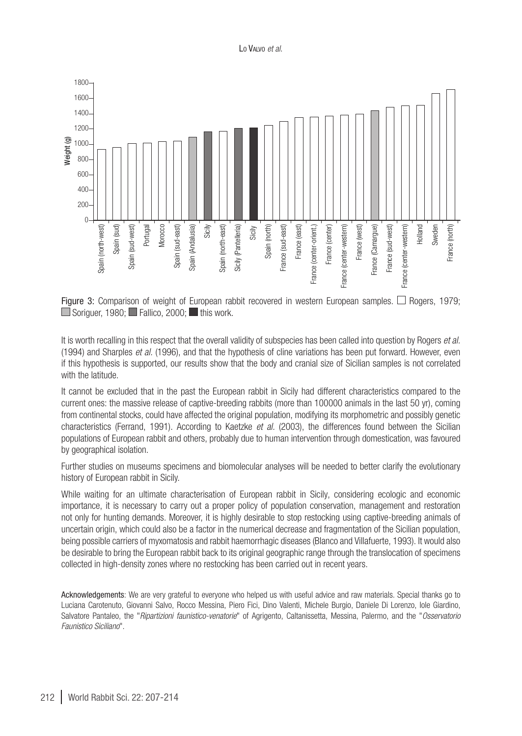



It is worth recalling in this respect that the overall validity of subspecies has been called into question by Rogers *et al.* (1994) and Sharples *et al.* (1996), and that the hypothesis of cline variations has been put forward. However, even if this hypothesis is supported, our results show that the body and cranial size of Sicilian samples is not correlated with the latitude.

It cannot be excluded that in the past the European rabbit in Sicily had different characteristics compared to the current ones: the massive release of captive-breeding rabbits (more than 100000 animals in the last 50 yr), coming from continental stocks, could have affected the original population, modifying its morphometric and possibly genetic characteristics (Ferrand, 1991). According to Kaetzke *et al.* (2003), the differences found between the Sicilian populations of European rabbit and others, probably due to human intervention through domestication, was favoured by geographical isolation.

Further studies on museums specimens and biomolecular analyses will be needed to better clarify the evolutionary history of European rabbit in Sicily.

While waiting for an ultimate characterisation of European rabbit in Sicily, considering ecologic and economic importance, it is necessary to carry out a proper policy of population conservation, management and restoration not only for hunting demands. Moreover, it is highly desirable to stop restocking using captive-breeding animals of uncertain origin, which could also be a factor in the numerical decrease and fragmentation of the Sicilian population, being possible carriers of myxomatosis and rabbit haemorrhagic diseases (Blanco and Villafuerte, 1993). It would also be desirable to bring the European rabbit back to its original geographic range through the translocation of specimens collected in high-density zones where no restocking has been carried out in recent years.

Acknowledgements: We are very grateful to everyone who helped us with useful advice and raw materials. Special thanks go to Luciana Carotenuto, Giovanni Salvo, Rocco Messina, Piero Fici, Dino Valenti, Michele Burgio, Daniele Di Lorenzo, Iole Giardino, Salvatore Pantaleo, the "*Ripartizioni faunistico-venatorie*" of Agrigento, Caltanissetta, Messina, Palermo, and the "*Osservatorio Faunistico Siciliano*".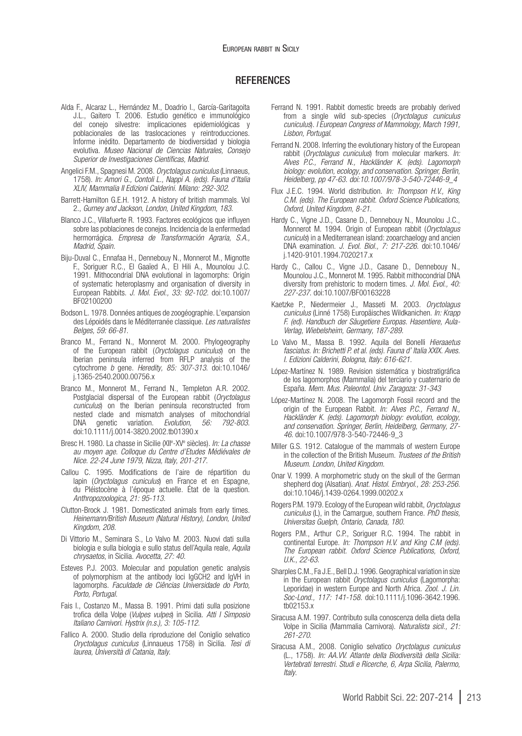#### **REFERENCES**

- Alda F., Alcaraz L., Hernández M., Doadrio I., García-Garitagoita J.L., Gaitero T. 2006. Estudio genético e immunológico del conejo silvestre: implicaciones epidemiológicas y poblacionales de las traslocaciones y reintroducciones. Informe inédito. Departamento de biodiversidad y biologia evolutiva. *Museo Nacional de Ciencias Naturales, Consejo Superior de Investigaciones Científicas, Madrid.*
- Angelici F.M., Spagnesi M. 2008. *Oryctolagus cuniculus* (Linnaeus, 1758). *In: Amori G., Contoli L., Nappi A. (eds). Fauna d'Italia XLIV, Mammalia II Edizioni Calderini. Milano: 292-302*.
- Barrett-Hamilton G.E.H. 1912. A history of british mammals. Vol 2., *Gurney and Jackson, London, United Kingdom, 183*.
- Blanco J.C., Villafuerte R. 1993. Factores ecológicos que influyen sobre las poblaciones de conejos. Incidencia de la enfermedad hermorrágica. *Empresa de Transformación Agraria, S.A., Madrid, Spain.*
- Biju-Duval C., Ennafaa H., Dennebouy N., Monnerot M., Mignotte F., Soriguer R.C., El Gaaïed A., El Hili A., Mounolou J.C. 1991. Mithocondrial DNA evolutional in lagomorphs: Origin of systematic heteroplasmy and organisation of diversity in European Rabbits. *J. Mol. Evol., 33: 92-102*. doi[:10.1007/](http://dx.doi.org/10.1007/BF02100200) [BF02100200](http://dx.doi.org/10.1007/BF02100200)
- Bodson L. 1978. Données antiques de zoogéographie. L'expansion des Lépoidés dans le Méditerranée classique. *Les naturalistes Belges, 59: 66-81*.
- Branco M., Ferrand N., Monnerot M. 2000. Phylogeography of the European rabbit (*Oryctolagus cuniculus*) on the Iberian peninsula inferred from RFLP analysis of the cytochrome *b* gene. *Heredity, 85: 307-313*. doi[:10.1046/](http://dx.doi.org/10.1046/j.1365-2540.2000.00756.x) [j.1365-2540.2000.00756.x](http://dx.doi.org/10.1046/j.1365-2540.2000.00756.x)
- Branco M., Monnerot M., Ferrand N., Templeton A.R. 2002. Postglacial dispersal of the European rabbit (*Oryctolagus cuniculus*) on the Iberian peninsula reconstructed from nested clade and mismatch analyses of mitochondrial<br>DNA genetic variation. *Evolution. 56: 792-803*. DNA genetic variation. Evolution, 56: doi[:10.1111/j.0014-3820.2002.tb01390.x](http://dx.doi.org/10.1111/j.0014-3820.2002.tb01390.x)
- Bresc H. 1980. La chasse in Sicilie (XIIe -XVe siècles). *In: La chasse au moyen age. Colloque du Centre d'Etudes Médiévales de Nice. 22-24 June 1979, Nizza, Italy, 201-217*.
- Callou C. 1995. Modifications de l'aire de répartition du lapin (*Oryctolagus cuniculus*) en France et en Espagne, du Pléistocène à l'époque actuelle. État de la question. *Anthropozoologica, 21: 95-113*.
- Clutton-Brock J. 1981. Domesticated animals from early times. *Heinemann/British Museum (Natural History), London, United Kingdom, 208*.
- Di Vittorio M., Seminara S., Lo Valvo M. 2003. Nuovi dati sulla biologia e sulla biologia e sullo status dell'Aquila reale, *Aquila chrysaetos*, in Sicilia. *Avocetta, 27: 40*.
- Esteves P.J. 2003. Molecular and population genetic analysis of polymorphism at the antibody loci IgGCH2 and IgVH in lagomorphs. *Faculdade de Ciências Universidade do Porto, Porto, Portugal*.
- Fais I., Costanzo M., Massa B. 1991. Primi dati sulla posizione trofica della Volpe (*Vulpes vulpes*) in Sicilia. *Atti I Simposio Italiano Carnivori*. *Hystrix (n.s.), 3: 105-112*.
- Fallico A. 2000. Studio della riproduzione del Coniglio selvatico *Oryctolagus cuniculus* (Linnaueus 1758) in Sicilia. *Tesi di laurea, Università di Catania, Italy*.
- Ferrand N. 1991. Rabbit domestic breeds are probably derived from a single wild sub-species (*Oryctolagus cuniculus cuniculus*). *I European Congress of Mammology, March 1991, Lisbon, Portugal*.
- Ferrand N. 2008. Inferring the evolutionary history of the European rabbit (*Oryctolagus cuniculus*) from molecular markers. *In: Alves P.C., Ferrand N., Hackländer K. (eds). Lagomorph biology: evolution, ecology, and conservation. Springer, Berlin, Heidelberg, pp 47-63. doi[:10.1007/978-3-540-72446-9\\_4](http://dx.doi.org/10.1007/978-3-540-72446-9_4)*
- Flux J.E.C. 1994. World distribution. *In: Thompson H.V., King C.M. (eds). The European rabbit. Oxford Science Publications, Oxford, United Kingdom, 8-21*.
- Hardy C., Vigne J.D., Casane D., Dennebouy N., Mounolou J.C., Monnerot M. 1994. Origin of European rabbit (*Oryctolagus cuniculs*) in a Mediterranean island: zooarchaelogy and ancien DNA examination. *J. Evol. Biol., 7: 217-226*. doi[:10.1046/](http://dx.doi.org/10.1046/j.1420-9101.1994.7020217.x) [j.1420-9101.1994.7020217.x](http://dx.doi.org/10.1046/j.1420-9101.1994.7020217.x)
- Hardy C., Callou C., Vigne J.D., Casane D., Dennebouy N., Mounolou J.C., Monnerot M. 1995. Rabbit mithocondrial DNA diversity from prehistoric to modern times. *J. Mol. Evol., 40: 227-237*. doi[:10.1007/BF00163228](http://dx.doi.org/10.1007/BF00163228)
- Kaetzke P., Niedermeier J., Masseti M. 2003. *Oryctolagus cuniculus* (Linné 1758) Europäisches Wildkanichen. *In: Krapp F. (ed). Handbuch der Säugetiere Europas. Hasentiere, Aula-Verlag, Wiebelsheim, Germany, 187-289*.
- Lo Valvo M., Massa B. 1992. Aquila del Bonelli *Hieraaetus fasciatus*. *In: Brichetti P. et al. (eds). Fauna d' Italia XXIX. Aves. I. Edizioni Calderini, Bologna, Italy: 616-621.*
- López-Martínez N. 1989. Revision sistemática y biostratigráfica de los lagomorphos (Mammalia) del terciario y cuaternario de España. *Mem. Mus. Paleontol. Univ. Zaragoza: 31-343*
- López-Martínez N. 2008. The Lagomorph Fossil record and the origin of the European Rabbit. *In: Alves P.C., Ferrand N., Hackländer K. (eds). Lagomorph biology: evolution, ecology, and conservation. Springer, Berlin, Heidelberg, Germany, 27- 46*. doi[:10.1007/978-3-540-72446-9\\_3](http://dx.doi.org/10.1007/978-3-540-72446-9_3)
- Miller G.S. 1912. Catalogue of the mammals of western Europe in the collection of the British Museum. *Trustees of the British Museum*. *London, United Kingdom.*
- Onar V. 1999. A morphometric study on the skull of the German shepherd dog (Alsatian). *Anat. Histol. Embryol., 28: 253-256*. doi:[10.1046/j.1439-0264.1999.00202.x](http://dx.doi.org/10.1046/j.1439-0264.1999.00202.x)
- Rogers P.M. 1979. Ecology of the European wild rabbit, *Oryctolagus cuniculus* (L), in the Camargue, southern France. *PhD thesis, Universitas Guelph, Ontario, Canada, 180*.
- Rogers P.M., Arthur C.P., Soriguer R.C. 1994. The rabbit in continental Europe. *In: Thompson H.V. and King C.M (eds). The European rabbit. Oxford Science Publications, Oxford, U.K*., *22-63*.
- Sharples C.M., Fa J.E., Bell D.J. 1996. Geographical variation in size in the European rabbit *Oryctolagus cuniculus* (Lagomorpha: Leporidae) in western Europe and North Africa. *Zool. J. Lin. Soc-Lond., 117: 141-158*. doi:[10.1111/j.1096-3642.1996.](http://dx.doi.org/10.1111/j.1096-3642.1996.tb02153.x) [tb02153.x](http://dx.doi.org/10.1111/j.1096-3642.1996.tb02153.x)
- Siracusa A.M. 1997. Contributo sulla conoscenza della dieta della Volpe in Sicilia (Mammalia Carnivora). *Naturalista sicil., 21: 261-270*.
- Siracusa A.M., 2008. Coniglio selvatico *Oryctolagus cuniculus* (L., 1758). *In: AA.VV. Atlante della Biodiversità della Sicilia: Vertebrati terrestri. Studi e Ricerche, 6, Arpa Sicilia, Palermo, Italy*.